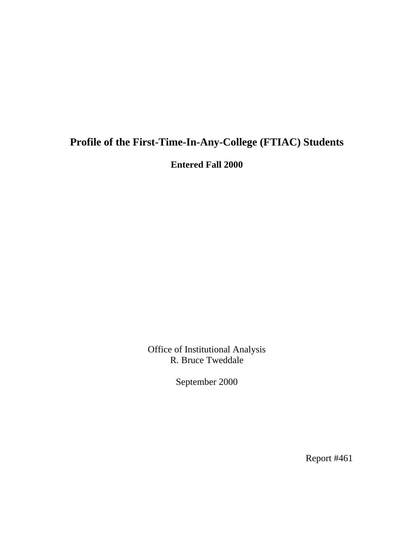# **Profile of the First-Time-In-Any-College (FTIAC) Students**

**Entered Fall 2000** 

Office of Institutional Analysis R. Bruce Tweddale

September 2000

Report #461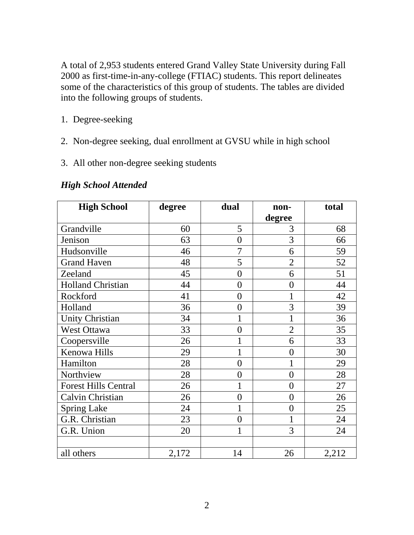A total of 2,953 students entered Grand Valley State University during Fall 2000 as first-time-in-any-college (FTIAC) students. This report delineates some of the characteristics of this group of students. The tables are divided into the following groups of students.

- 1. Degree-seeking
- 2. Non-degree seeking, dual enrollment at GVSU while in high school
- 3. All other non-degree seeking students

| <b>High School</b>          | degree | dual           | non-           | total |
|-----------------------------|--------|----------------|----------------|-------|
|                             |        |                | degree         |       |
| Grandville                  | 60     | 5              | 3              | 68    |
| Jenison                     | 63     | $\overline{0}$ | 3              | 66    |
| Hudsonville                 | 46     | $\overline{7}$ | 6              | 59    |
| <b>Grand Haven</b>          | 48     | 5              | $\overline{2}$ | 52    |
| Zeeland                     | 45     | $\overline{0}$ | 6              | 51    |
| <b>Holland Christian</b>    | 44     | $\overline{0}$ | $\overline{0}$ | 44    |
| Rockford                    | 41     | $\overline{0}$ | $\mathbf{1}$   | 42    |
| Holland                     | 36     | $\theta$       | $\overline{3}$ | 39    |
| <b>Unity Christian</b>      | 34     | 1              | 1              | 36    |
| West Ottawa                 | 33     | $\overline{0}$ | $\overline{2}$ | 35    |
| Coopersville                | 26     |                | 6              | 33    |
| Kenowa Hills                | 29     | 1              | $\overline{0}$ | 30    |
| Hamilton                    | 28     | $\overline{0}$ | 1              | 29    |
| Northview                   | 28     | $\overline{0}$ | $\overline{0}$ | 28    |
| <b>Forest Hills Central</b> | 26     | 1              | $\overline{0}$ | 27    |
| Calvin Christian            | 26     | $\overline{0}$ | $\overline{0}$ | 26    |
| <b>Spring Lake</b>          | 24     | 1              | $\overline{0}$ | 25    |
| G.R. Christian              | 23     | $\overline{0}$ | 1              | 24    |
| G.R. Union                  | 20     | 1              | 3              | 24    |
|                             |        |                |                |       |
| all others                  | 2,172  | 14             | 26             | 2,212 |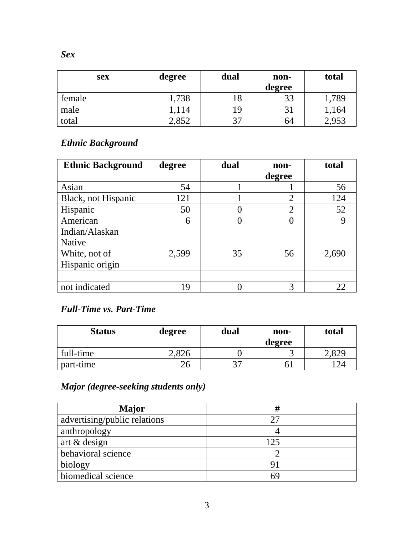| <b>sex</b> | degree | dual    | non-<br>degree | total |
|------------|--------|---------|----------------|-------|
| female     | 1,738  |         | 33             | ,789  |
| male       | 1,114  | 19      |                | ,164  |
| total      | 2,852  | 37<br>J | 64             | 2,953 |

## *Ethnic Background*

| <b>Ethnic Background</b> | degree | dual | non-           | total |
|--------------------------|--------|------|----------------|-------|
|                          |        |      | degree         |       |
| Asian                    | 54     |      |                | 56    |
| Black, not Hispanic      | 121    |      | $\overline{2}$ | 124   |
| Hispanic                 | 50     |      | $\overline{2}$ | 52    |
| American                 | 6      |      |                | 9     |
| Indian/Alaskan           |        |      |                |       |
| <b>Native</b>            |        |      |                |       |
| White, not of            | 2,599  | 35   | 56             | 2,690 |
| Hispanic origin          |        |      |                |       |
|                          |        |      |                |       |
| not indicated            | 19     |      | 3              | 22    |

### *Full-Time vs. Part-Time*

| <b>Status</b> | degree                     | dual    | non-<br>degree | total      |
|---------------|----------------------------|---------|----------------|------------|
| full-time     | 1.82 <sup>o</sup><br>2.820 |         | ັ              | 2,829      |
| part-time     | 26                         | 27<br>◡ |                | $12\Delta$ |

# *Major (degree-seeking students only)*

| Major                        |     |
|------------------------------|-----|
| advertising/public relations | 27  |
| anthropology                 |     |
| art & design                 | 125 |
| behavioral science           |     |
| biology                      | 91  |
| biomedical science           | 69  |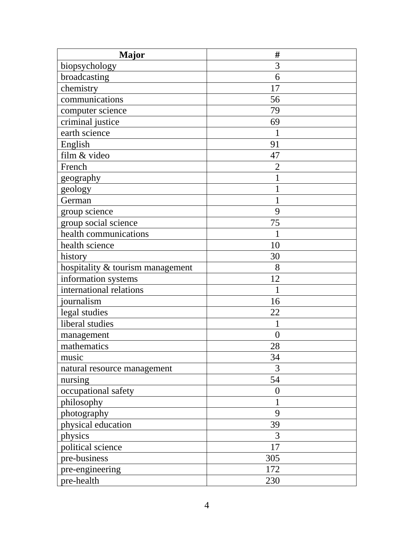| <b>Major</b>                     | #              |
|----------------------------------|----------------|
| biopsychology                    | 3              |
| broadcasting                     | 6              |
| chemistry                        | 17             |
| communications                   | 56             |
| computer science                 | 79             |
| criminal justice                 | 69             |
| earth science                    | 1              |
| English                          | 91             |
| film & video                     | 47             |
| French                           | $\overline{2}$ |
| geography                        |                |
| geology                          | 1              |
| German                           |                |
| group science                    | 9              |
| group social science             | 75             |
| health communications            |                |
| health science                   | 10             |
| history                          | 30             |
| hospitality & tourism management | 8              |
| information systems              | 12             |
| international relations          |                |
| journalism                       | 16             |
| legal studies                    | 22             |
| liberal studies                  |                |
| management                       | $\overline{0}$ |
| mathematics                      | 28             |
| music                            | 34             |
| natural resource management      | 3              |
| nursing                          | 54             |
| occupational safety              | $\overline{0}$ |
| philosophy                       |                |
| photography                      | 9              |
| physical education               | 39             |
| physics                          | 3              |
| political science                | 17             |
| pre-business                     | 305            |
| pre-engineering                  | 172            |
| pre-health                       | 230            |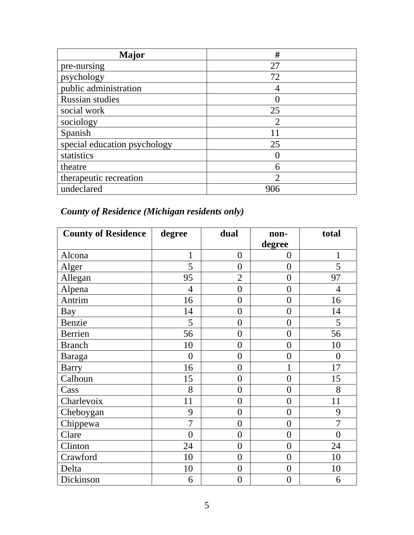| Major                        | #   |
|------------------------------|-----|
| pre-nursing                  | 27  |
| psychology                   | 72  |
| public administration        |     |
| <b>Russian studies</b>       |     |
| social work                  | 25  |
| sociology                    |     |
| Spanish                      | 11  |
| special education psychology | 25  |
| statistics                   |     |
| theatre                      | 6   |
| therapeutic recreation       | っ   |
| undeclared                   | 906 |

# *County of Residence (Michigan residents only)*

| <b>County of Residence</b> | degree         | dual             | non-             | total          |
|----------------------------|----------------|------------------|------------------|----------------|
|                            |                |                  | degree           |                |
| Alcona                     | $\mathbf{1}$   | $\overline{0}$   | $\overline{0}$   | $\mathbf{1}$   |
| Alger                      | 5              | $\overline{0}$   | $\overline{0}$   | 5              |
| Allegan                    | 95             | $\overline{2}$   | $\overline{0}$   | 97             |
| Alpena                     | $\overline{4}$ | $\overline{0}$   | $\overline{0}$   | $\overline{4}$ |
| Antrim                     | 16             | $\overline{0}$   | $\overline{0}$   | 16             |
| Bay                        | 14             | $\overline{0}$   | $\overline{0}$   | 14             |
| Benzie                     | 5              | $\boldsymbol{0}$ | $\boldsymbol{0}$ | 5              |
| Berrien                    | 56             | $\overline{0}$   | $\overline{0}$   | 56             |
| <b>Branch</b>              | 10             | $\overline{0}$   | $\overline{0}$   | 10             |
| Baraga                     | $\overline{0}$ | $\overline{0}$   | $\overline{0}$   | $\overline{0}$ |
| <b>Barry</b>               | 16             | $\overline{0}$   | $\mathbf{1}$     | 17             |
| Calhoun                    | 15             | $\overline{0}$   | $\overline{0}$   | 15             |
| Cass                       | 8              | $\overline{0}$   | $\overline{0}$   | 8              |
| Charlevoix                 | 11             | $\overline{0}$   | $\overline{0}$   | 11             |
| Cheboygan                  | 9              | $\overline{0}$   | $\overline{0}$   | 9              |
| Chippewa                   | $\overline{7}$ | $\overline{0}$   | $\overline{0}$   | $\overline{7}$ |
| Clare                      | $\overline{0}$ | $\overline{0}$   | $\overline{0}$   | $\overline{0}$ |
| Clinton                    | 24             | $\overline{0}$   | $\overline{0}$   | 24             |
| Crawford                   | 10             | $\overline{0}$   | $\boldsymbol{0}$ | 10             |
| Delta                      | 10             | $\overline{0}$   | $\overline{0}$   | 10             |
| Dickinson                  | 6              | $\boldsymbol{0}$ | $\overline{0}$   | 6              |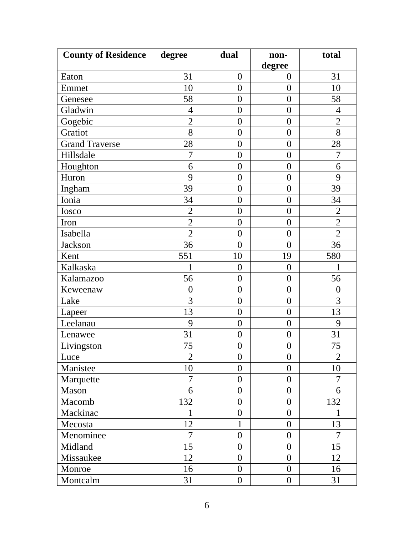| <b>County of Residence</b> | degree           | dual             | non-             | total          |
|----------------------------|------------------|------------------|------------------|----------------|
|                            |                  |                  | degree           |                |
| Eaton                      | 31               | $\boldsymbol{0}$ | $\boldsymbol{0}$ | 31             |
| Emmet                      | 10               | $\overline{0}$   | $\boldsymbol{0}$ | 10             |
| Genesee                    | 58               | $\overline{0}$   | $\overline{0}$   | 58             |
| Gladwin                    | $\overline{4}$   | $\overline{0}$   | $\boldsymbol{0}$ | $\overline{4}$ |
| Gogebic                    | $\overline{2}$   | $\boldsymbol{0}$ | $\boldsymbol{0}$ | $\overline{2}$ |
| Gratiot                    | 8                | $\overline{0}$   | $\overline{0}$   | 8              |
| <b>Grand Traverse</b>      | 28               | $\overline{0}$   | $\boldsymbol{0}$ | 28             |
| Hillsdale                  | 7                | $\boldsymbol{0}$ | $\boldsymbol{0}$ | 7              |
| Houghton                   | 6                | $\overline{0}$   | $\overline{0}$   | 6              |
| Huron                      | 9                | $\boldsymbol{0}$ | $\boldsymbol{0}$ | 9              |
| Ingham                     | 39               | $\overline{0}$   | $\overline{0}$   | 39             |
| Ionia                      | 34               | $\boldsymbol{0}$ | $\boldsymbol{0}$ | 34             |
| Iosco                      | $\overline{2}$   | $\overline{0}$   | $\overline{0}$   | $\overline{2}$ |
| Iron                       | $\overline{2}$   | $\boldsymbol{0}$ | $\boldsymbol{0}$ | $\overline{2}$ |
| Isabella                   | $\overline{2}$   | $\overline{0}$   | $\boldsymbol{0}$ | $\overline{2}$ |
| Jackson                    | 36               | $\overline{0}$   | $\overline{0}$   | 36             |
| Kent                       | 551              | 10               | 19               | 580            |
| Kalkaska                   | $\mathbf{1}$     | $\boldsymbol{0}$ | $\boldsymbol{0}$ | $\mathbf{1}$   |
| Kalamazoo                  | 56               | $\overline{0}$   | $\overline{0}$   | 56             |
| Keweenaw                   | $\boldsymbol{0}$ | $\boldsymbol{0}$ | $\boldsymbol{0}$ | $\overline{0}$ |
| Lake                       | $\overline{3}$   | $\overline{0}$   | $\boldsymbol{0}$ | 3              |
| Lapeer                     | 13               | $\overline{0}$   | $\boldsymbol{0}$ | 13             |
| Leelanau                   | 9                | $\boldsymbol{0}$ | $\boldsymbol{0}$ | 9              |
| Lenawee                    | 31               | $\boldsymbol{0}$ | $\boldsymbol{0}$ | 31             |
| Livingston                 | 75               | $\boldsymbol{0}$ | $\boldsymbol{0}$ | 75             |
| Luce                       | $\overline{2}$   | $\overline{0}$   | $\overline{0}$   | $\overline{2}$ |
| Manistee                   | 10               | $\overline{0}$   | $\overline{0}$   | 10             |
| Marquette                  | $\overline{7}$   | $\overline{0}$   | $\overline{0}$   | 7              |
| Mason                      | 6                | $\overline{0}$   | $\boldsymbol{0}$ | 6              |
| Macomb                     | 132              | $\overline{0}$   | $\overline{0}$   | 132            |
| Mackinac                   | 1                | $\overline{0}$   | $\overline{0}$   | 1              |
| Mecosta                    | 12               | 1                | $\overline{0}$   | 13             |
| Menominee                  | 7                | $\overline{0}$   | $\overline{0}$   | 7              |
| Midland                    | 15               | $\overline{0}$   | $\overline{0}$   | 15             |
| Missaukee                  | 12               | $\overline{0}$   | $\overline{0}$   | 12             |
| Monroe                     | 16               | $\overline{0}$   | $\overline{0}$   | 16             |
| Montcalm                   | 31               | $\overline{0}$   | $\boldsymbol{0}$ | 31             |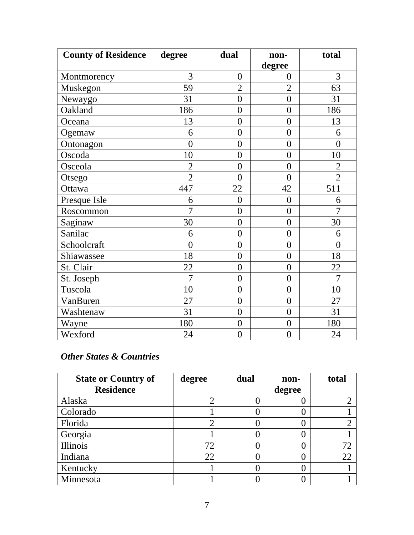| <b>County of Residence</b> | degree         | dual             | non-             | total          |
|----------------------------|----------------|------------------|------------------|----------------|
|                            |                |                  | degree           |                |
| Montmorency                | 3              | $\overline{0}$   | $\overline{0}$   | 3              |
| Muskegon                   | 59             | $\overline{2}$   | $\overline{2}$   | 63             |
| Newaygo                    | 31             | $\overline{0}$   | $\overline{0}$   | 31             |
| Oakland                    | 186            | $\overline{0}$   | $\overline{0}$   | 186            |
| Oceana                     | 13             | $\overline{0}$   | $\overline{0}$   | 13             |
| Ogemaw                     | 6              | $\overline{0}$   | $\boldsymbol{0}$ | 6              |
| Ontonagon                  | $\overline{0}$ | $\overline{0}$   | $\overline{0}$   | $\overline{0}$ |
| Oscoda                     | 10             | $\overline{0}$   | $\overline{0}$   | 10             |
| Osceola                    | $\overline{2}$ | $\overline{0}$   | $\overline{0}$   | $\overline{2}$ |
| Otsego                     | $\overline{2}$ | $\overline{0}$   | $\overline{0}$   | $\overline{2}$ |
| Ottawa                     | 447            | 22               | 42               | 511            |
| Presque Isle               | 6              | $\overline{0}$   | $\overline{0}$   | 6              |
| Roscommon                  | $\overline{7}$ | $\overline{0}$   | $\overline{0}$   | $\overline{7}$ |
| Saginaw                    | 30             | $\overline{0}$   | $\overline{0}$   | 30             |
| Sanilac                    | 6              | $\overline{0}$   | $\overline{0}$   | 6              |
| Schoolcraft                | $\overline{0}$ | $\overline{0}$   | $\overline{0}$   | $\overline{0}$ |
| Shiawassee                 | 18             | $\overline{0}$   | $\overline{0}$   | 18             |
| St. Clair                  | 22             | $\overline{0}$   | $\overline{0}$   | 22             |
| St. Joseph                 | $\overline{7}$ | $\overline{0}$   | $\overline{0}$   | $\overline{7}$ |
| Tuscola                    | 10             | $\overline{0}$   | $\overline{0}$   | 10             |
| VanBuren                   | 27             | $\overline{0}$   | $\overline{0}$   | 27             |
| Washtenaw                  | 31             | $\overline{0}$   | $\overline{0}$   | 31             |
| Wayne                      | 180            | $\boldsymbol{0}$ | $\boldsymbol{0}$ | 180            |
| Wexford                    | 24             | $\boldsymbol{0}$ | $\overline{0}$   | 24             |

#### *Other States & Countries*

| <b>State or Country of</b> | degree         | dual | non-   | total |
|----------------------------|----------------|------|--------|-------|
| <b>Residence</b>           |                |      | degree |       |
| Alaska                     | $\overline{2}$ |      |        |       |
| Colorado                   |                |      |        |       |
| Florida                    | $\overline{2}$ |      |        |       |
| Georgia                    |                |      |        |       |
| Illinois                   | 72             |      |        | 72    |
| Indiana                    | 22             |      |        | 22    |
| Kentucky                   |                |      |        |       |
| Minnesota                  |                |      |        |       |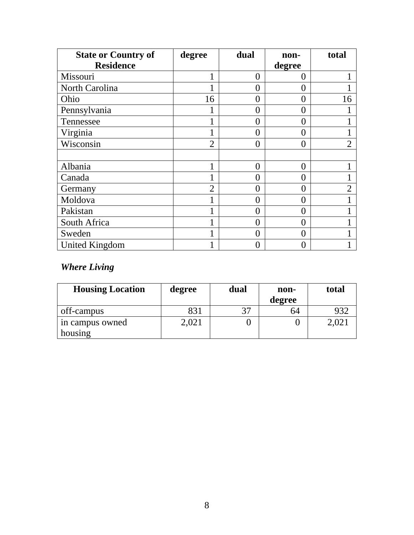| <b>State or Country of</b> | degree         | dual           | non-              | total          |
|----------------------------|----------------|----------------|-------------------|----------------|
| <b>Residence</b>           |                |                | degree            |                |
| Missouri                   |                | $\theta$       | $\mathbf{\Omega}$ |                |
| North Carolina             |                | 0              | 0                 |                |
| Ohio                       | 16             | 0              | 0                 | 16             |
| Pennsylvania               |                | 0              | ( )               |                |
| Tennessee                  |                | 0              | 0                 |                |
| Virginia                   | 1              | 0              | 0                 |                |
| Wisconsin                  | $\overline{2}$ | $\overline{0}$ | 0                 | $\overline{2}$ |
|                            |                |                |                   |                |
| Albania                    | 1              | $\overline{0}$ | 0                 |                |
| Canada                     |                | 0              | 0                 |                |
| Germany                    | $\overline{2}$ | 0              | $\mathbf{0}$      | 2              |
| Moldova                    |                | 0              | 0                 |                |
| Pakistan                   | 1              | $\overline{0}$ | 0                 |                |
| South Africa               | 1              | $\overline{0}$ | $\mathbf{\Omega}$ |                |
| Sweden                     |                | $\Omega$       | $\Omega$          |                |
| <b>United Kingdom</b>      |                | 0              |                   |                |

# *Where Living*

| <b>Housing Location</b> | degree | dual | non-   | total |
|-------------------------|--------|------|--------|-------|
|                         |        |      | degree |       |
| off-campus              | 831    | 37   | 64     | 932   |
| in campus owned         | 2,021  |      |        |       |
| housing                 |        |      |        |       |